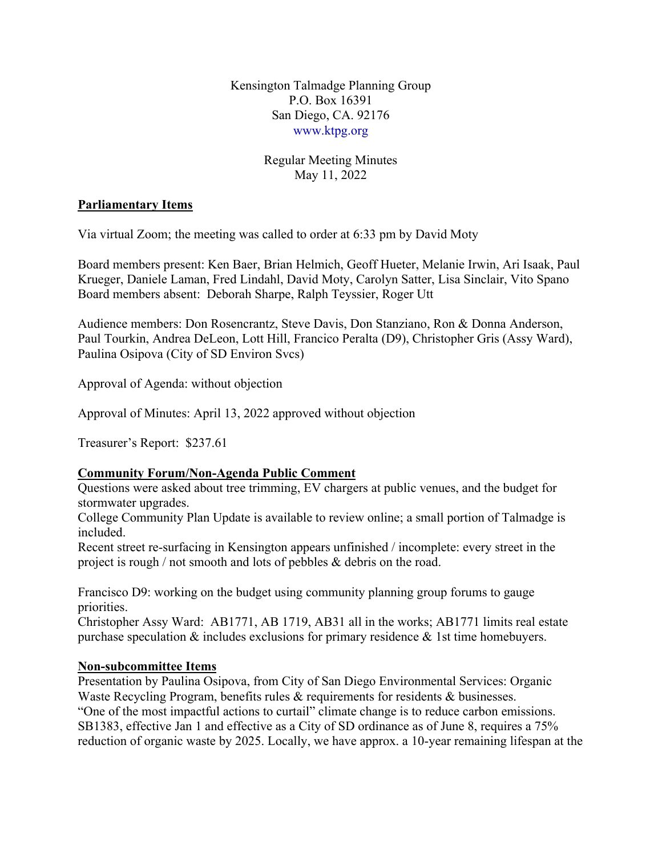Kensington Talmadge Planning Group P.O. Box 16391 San Diego, CA. 92176 [www.ktpg.org](http://www.ktpg.org/)

# Regular Meeting Minutes May 11, 2022

### **Parliamentary Items**

Via virtual Zoom; the meeting was called to order at 6:33 pm by David Moty

Board members present: Ken Baer, Brian Helmich, Geoff Hueter, Melanie Irwin, Ari Isaak, Paul Krueger, Daniele Laman, Fred Lindahl, David Moty, Carolyn Satter, Lisa Sinclair, Vito Spano Board members absent: Deborah Sharpe, Ralph Teyssier, Roger Utt

Audience members: Don Rosencrantz, Steve Davis, Don Stanziano, Ron & Donna Anderson, Paul Tourkin, Andrea DeLeon, Lott Hill, Francico Peralta (D9), Christopher Gris (Assy Ward), Paulina Osipova (City of SD Environ Svcs)

Approval of Agenda: without objection

Approval of Minutes: April 13, 2022 approved without objection

Treasurer's Report: \$237.61

# **Community Forum/Non-Agenda Public Comment**

Questions were asked about tree trimming, EV chargers at public venues, and the budget for stormwater upgrades.

College Community Plan Update is available to review online; a small portion of Talmadge is included.

Recent street re-surfacing in Kensington appears unfinished / incomplete: every street in the project is rough / not smooth and lots of pebbles & debris on the road.

Francisco D9: working on the budget using community planning group forums to gauge priorities.

Christopher Assy Ward: AB1771, AB 1719, AB31 all in the works; AB1771 limits real estate purchase speculation & includes exclusions for primary residence & 1st time homebuyers.

#### **Non-subcommittee Items**

Presentation by Paulina Osipova, from City of San Diego Environmental Services: Organic Waste Recycling Program, benefits rules & requirements for residents & businesses. "One of the most impactful actions to curtail" climate change is to reduce carbon emissions. SB1383, effective Jan 1 and effective as a City of SD ordinance as of June 8, requires a 75% reduction of organic waste by 2025. Locally, we have approx. a 10-year remaining lifespan at the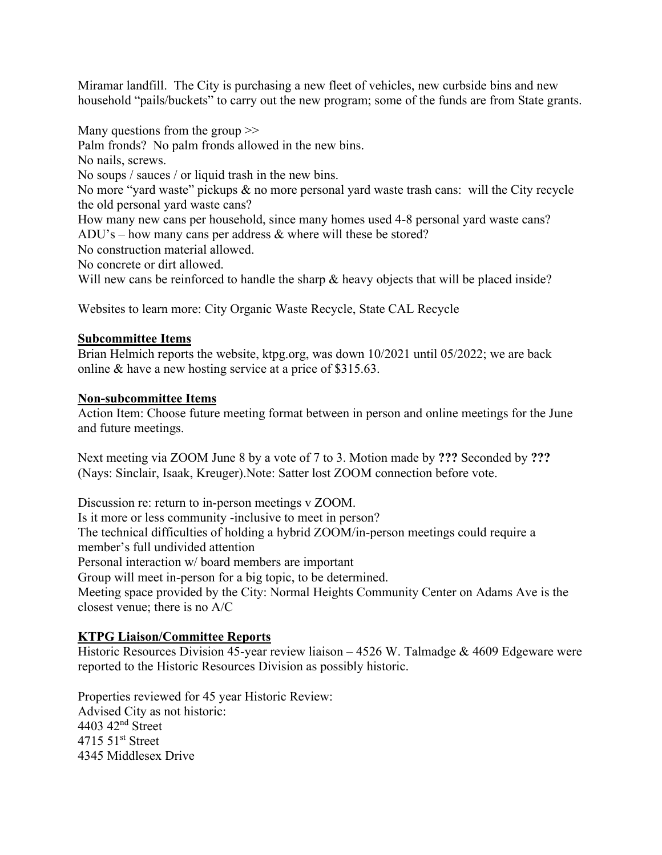Miramar landfill. The City is purchasing a new fleet of vehicles, new curbside bins and new household "pails/buckets" to carry out the new program; some of the funds are from State grants.

Many questions from the group  $\gg$ Palm fronds? No palm fronds allowed in the new bins. No nails, screws. No soups / sauces / or liquid trash in the new bins. No more "yard waste" pickups & no more personal yard waste trash cans: will the City recycle the old personal yard waste cans? How many new cans per household, since many homes used 4-8 personal yard waste cans? ADU's – how many cans per address & where will these be stored? No construction material allowed. No concrete or dirt allowed. Will new cans be reinforced to handle the sharp  $\&$  heavy objects that will be placed inside?

Websites to learn more: City Organic Waste Recycle, State CAL Recycle

# **Subcommittee Items**

Brian Helmich reports the website, ktpg.org, was down 10/2021 until 05/2022; we are back online & have a new hosting service at a price of \$315.63.

### **Non-subcommittee Items**

Action Item: Choose future meeting format between in person and online meetings for the June and future meetings.

Next meeting via ZOOM June 8 by a vote of 7 to 3. Motion made by **???** Seconded by **???** (Nays: Sinclair, Isaak, Kreuger).Note: Satter lost ZOOM connection before vote.

Discussion re: return to in-person meetings v ZOOM. Is it more or less community -inclusive to meet in person? The technical difficulties of holding a hybrid ZOOM/in-person meetings could require a member's full undivided attention Personal interaction w/ board members are important Group will meet in-person for a big topic, to be determined. Meeting space provided by the City: Normal Heights Community Center on Adams Ave is the closest venue; there is no A/C

# **KTPG Liaison/Committee Reports**

Historic Resources Division 45-year review liaison – 4526 W. Talmadge & 4609 Edgeware were reported to the Historic Resources Division as possibly historic.

Properties reviewed for 45 year Historic Review: Advised City as not historic: 4403 42nd Street 4715 51st Street 4345 Middlesex Drive